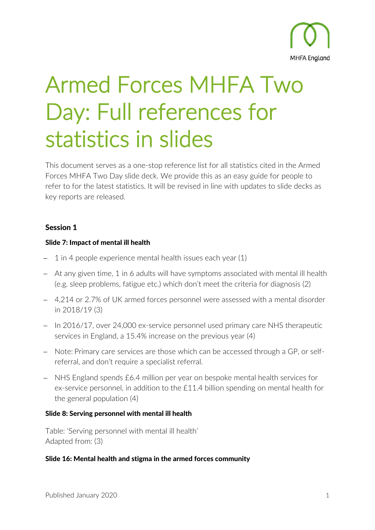

# Armed Forces MHFA Two Day: Full references for statistics in slides

This document serves as a one-stop reference list for all statistics cited in the Armed Forces MHFA Two Day slide deck. We provide this as an easy guide for people to refer to for the latest statistics. It will be revised in line with updates to slide decks as key reports are released.

# Session 1

## Slide 7: Impact of mental ill health

- 1 in 4 people experience mental health issues each year (1)
- − At any given time, 1 in 6 adults will have symptoms associated with mental ill health (e.g. sleep problems, fatigue etc.) which don't meet the criteria for diagnosis (2)
- − 4,214 or 2.7% of UK armed forces personnel were assessed with a mental disorder in 2018/19 (3)
- − In 2016/17, over 24,000 ex-service personnel used primary care NHS therapeutic services in England, a 15.4% increase on the previous year (4)
- − Note: Primary care services are those which can be accessed through a GP, or selfreferral, and don't require a specialist referral.
- − NHS England spends £6.4 million per year on bespoke mental health services for ex-service personnel, in addition to the £11.4 billion spending on mental health for the general population (4)

#### Slide 8: Serving personnel with mental ill health

Table: 'Serving personnel with mental ill health' Adapted from: (3)

#### Slide 16: Mental health and stigma in the armed forces community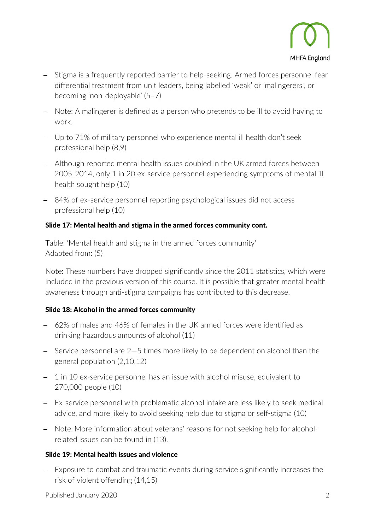

- − Stigma is a frequently reported barrier to help-seeking. Armed forces personnel fear differential treatment from unit leaders, being labelled 'weak' or 'malingerers', or becoming 'non-deployable' (5–7)
- − Note: A malingerer is defined as a person who pretends to be ill to avoid having to work.
- − Up to 71% of military personnel who experience mental ill health don't seek professional help (8,9)
- − Although reported mental health issues doubled in the UK armed forces between 2005-2014, only 1 in 20 ex-service personnel experiencing symptoms of mental ill health sought help (10)
- − 84% of ex-service personnel reporting psychological issues did not access professional help (10)

## Slide 17: Mental health and stigma in the armed forces community cont.

Table: 'Mental health and stigma in the armed forces community' Adapted from: (5)

Note: These numbers have dropped significantly since the 2011 statistics, which were included in the previous version of this course. It is possible that greater mental health awareness through anti-stigma campaigns has contributed to this decrease.

## Slide 18: Alcohol in the armed forces community

- − 62% of males and 46% of females in the UK armed forces were identified as drinking hazardous amounts of alcohol (11)
- − Service personnel are 2—5 times more likely to be dependent on alcohol than the general population (2,10,12)
- − 1 in 10 ex-service personnel has an issue with alcohol misuse, equivalent to 270,000 people (10)
- − Ex-service personnel with problematic alcohol intake are less likely to seek medical advice, and more likely to avoid seeking help due to stigma or self-stigma (10)
- − Note: More information about veterans' reasons for not seeking help for alcoholrelated issues can be found in (13).

#### Slide 19: Mental health issues and violence

− Exposure to combat and traumatic events during service significantly increases the risk of violent offending (14,15)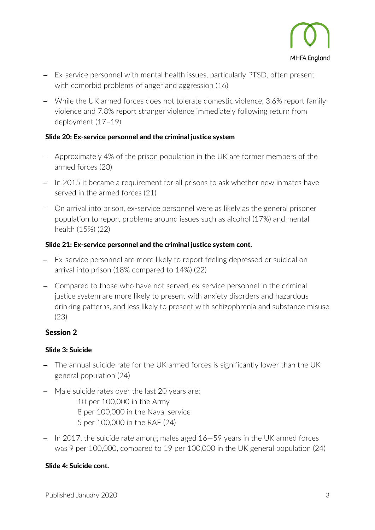

- − Ex-service personnel with mental health issues, particularly PTSD, often present with comorbid problems of anger and aggression (16)
- − While the UK armed forces does not tolerate domestic violence, 3.6% report family violence and 7.8% report stranger violence immediately following return from deployment (17–19)

## Slide 20: Ex-service personnel and the criminal justice system

- − Approximately 4% of the prison population in the UK are former members of the armed forces (20)
- − In 2015 it became a requirement for all prisons to ask whether new inmates have served in the armed forces (21)
- − On arrival into prison, ex-service personnel were as likely as the general prisoner population to report problems around issues such as alcohol (17%) and mental health (15%) (22)

# Slide 21: Ex-service personnel and the criminal justice system cont.

- − Ex-service personnel are more likely to report feeling depressed or suicidal on arrival into prison (18% compared to 14%) (22)
- − Compared to those who have not served, ex-service personnel in the criminal justice system are more likely to present with anxiety disorders and hazardous drinking patterns, and less likely to present with schizophrenia and substance misuse (23)

# Session 2

## Slide 3: Suicide

- − The annual suicide rate for the UK armed forces is significantly lower than the UK general population (24)
- − Male suicide rates over the last 20 years are:
	- 10 per 100,000 in the Army 8 per 100,000 in the Naval service 5 per 100,000 in the RAF (24)
- − In 2017, the suicide rate among males aged 16—59 years in the UK armed forces was 9 per 100,000, compared to 19 per 100,000 in the UK general population (24)

## Slide 4: Suicide cont.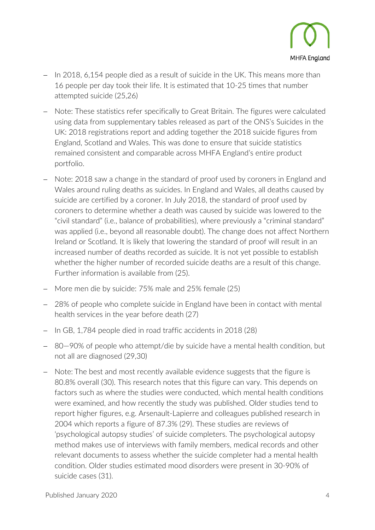

- In 2018, 6,154 people died as a result of suicide in the UK. This means more than 16 people per day took their life. It is estimated that 10-25 times that number attempted suicide (25,26)
- − Note: These statistics refer specifically to Great Britain. The figures were calculated using data from supplementary tables released as part of the ONS's Suicides in the UK: 2018 registrations report and adding together the 2018 suicide figures from England, Scotland and Wales. This was done to ensure that suicide statistics remained consistent and comparable across MHFA England's entire product portfolio.
- − Note: 2018 saw a change in the standard of proof used by coroners in England and Wales around ruling deaths as suicides. In England and Wales, all deaths caused by suicide are certified by a coroner. In July 2018, the standard of proof used by coroners to determine whether a death was caused by suicide was lowered to the "civil standard" (i.e., balance of probabilities), where previously a "criminal standard" was applied (i.e., beyond all reasonable doubt). The change does not affect Northern Ireland or Scotland. It is likely that lowering the standard of proof will result in an increased number of deaths recorded as suicide. It is not yet possible to establish whether the higher number of recorded suicide deaths are a result of this change. Further information is available from (25).
- − More men die by suicide: 75% male and 25% female (25)
- − 28% of people who complete suicide in England have been in contact with mental health services in the year before death (27)
- − In GB, 1,784 people died in road traffic accidents in 2018 (28)
- − 80—90% of people who attempt/die by suicide have a mental health condition, but not all are diagnosed (29,30)
- − Note: The best and most recently available evidence suggests that the figure is 80.8% overall (30). This research notes that this figure can vary. This depends on factors such as where the studies were conducted, which mental health conditions were examined, and how recently the study was published. Older studies tend to report higher figures, e.g. Arsenault-Lapierre and colleagues published research in 2004 which reports a figure of 87.3% (29). These studies are reviews of 'psychological autopsy studies' of suicide completers. The psychological autopsy method makes use of interviews with family members, medical records and other relevant documents to assess whether the suicide completer had a mental health condition. Older studies estimated mood disorders were present in 30-90% of suicide cases (31).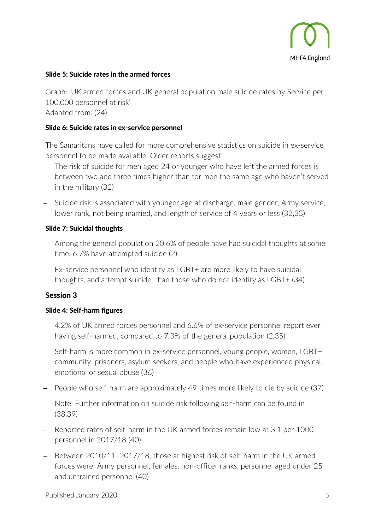

#### Slide 5: Suicide rates in the armed forces

Graph: 'UK armed forces and UK general population male suicide rates by Service per 100,000 personnel at risk' Adapted from: (24)

#### Slide 6: Suicide rates in ex-service personnel

The Samaritans have called for more comprehensive statistics on suicide in ex-service personnel to be made available. Older reports suggest:

- − The risk of suicide for men aged 24 or younger who have left the armed forces is between two and three times higher than for men the same age who haven't served in the military (32)
- − Suicide risk is associated with younger age at discharge, male gender, Army service, lower rank, not being married, and length of service of 4 years or less (32,33)

#### Slide 7: Suicidal thoughts

- − Among the general population 20.6% of people have had suicidal thoughts at some time, 6.7% have attempted suicide (2)
- − Ex-service personnel who identify as LGBT+ are more likely to have suicidal thoughts, and attempt suicide, than those who do not identify as LGBT+ (34)

#### Session 3

#### Slide 4: Self-harm figures

- − 4.2% of UK armed forces personnel and 6.6% of ex-service personnel report ever having self-harmed, compared to 7.3% of the general population (2,35)
- − Self-harm is more common in ex-service personnel, young people, women, LGBT+ community, prisoners, asylum seekers, and people who have experienced physical, emotional or sexual abuse (36)
- − People who self-harm are approximately 49 times more likely to die by suicide (37)
- − Note: Further information on suicide risk following self-harm can be found in (38,39)
- − Reported rates of self-harm in the UK armed forces remain low at 3.1 per 1000 personnel in 2017/18 (40)
- − Between 2010/11–2017/18, those at highest risk of self-harm in the UK armed forces were: Army personnel, females, non-officer ranks, personnel aged under 25 and untrained personnel (40)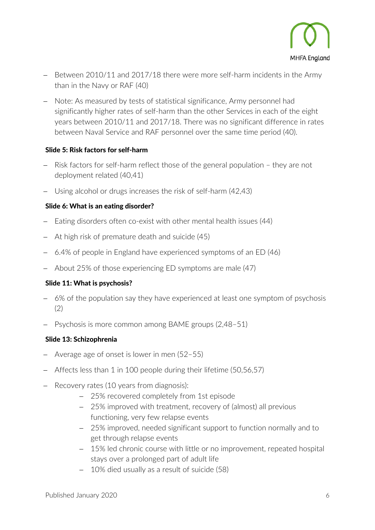

- − Between 2010/11 and 2017/18 there were more self-harm incidents in the Army than in the Navy or RAF (40)
- − Note: As measured by tests of statistical significance, Army personnel had significantly higher rates of self-harm than the other Services in each of the eight years between 2010/11 and 2017/18. There was no significant difference in rates between Naval Service and RAF personnel over the same time period (40).

## Slide 5: Risk factors for self-harm

- Risk factors for self-harm reflect those of the general population they are not deployment related (40,41)
- − Using alcohol or drugs increases the risk of self-harm (42,43)

## Slide 6: What is an eating disorder?

- − Eating disorders often co-exist with other mental health issues (44)
- At high risk of premature death and suicide (45)
- − 6.4% of people in England have experienced symptoms of an ED (46)
- − About 25% of those experiencing ED symptoms are male (47)

## Slide 11: What is psychosis?

- − 6% of the population say they have experienced at least one symptom of psychosis (2)
- − Psychosis is more common among BAME groups (2,48–51)

#### Slide 13: Schizophrenia

- − Average age of onset is lower in men (52–55)
- − Affects less than 1 in 100 people during their lifetime (50,56,57)
- − Recovery rates (10 years from diagnosis):
	- − 25% recovered completely from 1st episode
	- − 25% improved with treatment, recovery of (almost) all previous functioning, very few relapse events
	- − 25% improved, needed significant support to function normally and to get through relapse events
	- − 15% led chronic course with little or no improvement, repeated hospital stays over a prolonged part of adult life
	- − 10% died usually as a result of suicide (58)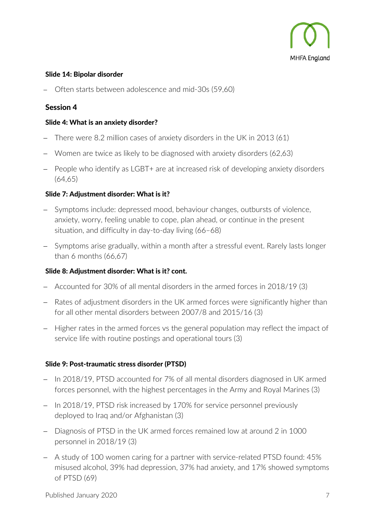

#### Slide 14: Bipolar disorder

− Often starts between adolescence and mid-30s (59,60)

## Session 4

#### Slide 4: What is an anxiety disorder?

- − There were 8.2 million cases of anxiety disorders in the UK in 2013 (61)
- − Women are twice as likely to be diagnosed with anxiety disorders (62,63)
- − People who identify as LGBT+ are at increased risk of developing anxiety disorders (64,65)

#### Slide 7: Adjustment disorder: What is it?

- − Symptoms include: depressed mood, behaviour changes, outbursts of violence, anxiety, worry, feeling unable to cope, plan ahead, or continue in the present situation, and difficulty in day-to-day living (66–68)
- − Symptoms arise gradually, within a month after a stressful event. Rarely lasts longer than 6 months (66,67)

#### Slide 8: Adjustment disorder: What is it? cont.

- − Accounted for 30% of all mental disorders in the armed forces in 2018/19 (3)
- − Rates of adjustment disorders in the UK armed forces were significantly higher than for all other mental disorders between 2007/8 and 2015/16 (3)
- − Higher rates in the armed forces vs the general population may reflect the impact of service life with routine postings and operational tours (3)

## Slide 9: Post-traumatic stress disorder (PTSD)

- − In 2018/19, PTSD accounted for 7% of all mental disorders diagnosed in UK armed forces personnel, with the highest percentages in the Army and Royal Marines (3)
- − In 2018/19, PTSD risk increased by 170% for service personnel previously deployed to Iraq and/or Afghanistan (3)
- − Diagnosis of PTSD in the UK armed forces remained low at around 2 in 1000 personnel in 2018/19 (3)
- − A study of 100 women caring for a partner with service-related PTSD found: 45% misused alcohol, 39% had depression, 37% had anxiety, and 17% showed symptoms of PTSD (69)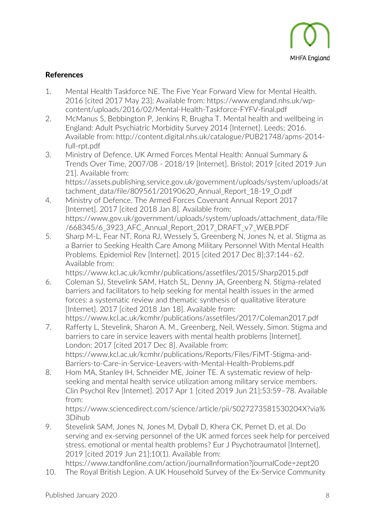

## References

- 1. Mental Health Taskforce NE. The Five Year Forward View for Mental Health. 2016 [cited 2017 May 23]; Available from: https://www.england.nhs.uk/wpcontent/uploads/2016/02/Mental-Health-Taskforce-FYFV-final.pdf
- 2. McManus S, Bebbington P, Jenkins R, Brugha T. Mental health and wellbeing in England: Adult Psychiatric Morbidity Survey 2014 [Internet]. Leeds; 2016. Available from: http://content.digital.nhs.uk/catalogue/PUB21748/apms-2014 full-rpt.pdf
- 3. Ministry of Defence. UK Armed Forces Mental Health: Annual Summary & Trends Over Time, 2007/08 - 2018/19 [Internet]. Bristol; 2019 [cited 2019 Jun 21]. Available from: https://assets.publishing.service.gov.uk/government/uploads/system/uploads/at
- tachment\_data/file/809561/20190620\_Annual\_Report\_18-19\_O.pdf 4. Ministry of Defence. The Armed Forces Covenant Annual Report 2017 [Internet]. 2017 [cited 2018 Jan 8]. Available from: https://www.gov.uk/government/uploads/system/uploads/attachment\_data/file /668345/6\_3923\_AFC\_Annual\_Report\_2017\_DRAFT\_v7\_WEB.PDF
- 5. Sharp M-L, Fear NT, Rona RJ, Wessely S, Greenberg N, Jones N, et al. Stigma as a Barrier to Seeking Health Care Among Military Personnel With Mental Health Problems. Epidemiol Rev [Internet]. 2015 [cited 2017 Dec 8];37:144–62. Available from:

https://www.kcl.ac.uk/kcmhr/publications/assetfiles/2015/Sharp2015.pdf

- 6. Coleman SJ, Stevelink SAM, Hatch SL, Denny JA, Greenberg N. Stigma-related barriers and facilitators to help seeking for mental health issues in the armed forces: a systematic review and thematic synthesis of qualitative literature [Internet]. 2017 [cited 2018 Jan 18]. Available from: https://www.kcl.ac.uk/kcmhr/publications/assetfiles/2017/Coleman2017.pdf
- 7. Rafferty L, Stevelink, Sharon A. M., Greenberg, Neil, Wessely, Simon. Stigma and barriers to care in service leavers with mental health problems [Internet]. London; 2017 [cited 2017 Dec 8]. Available from: https://www.kcl.ac.uk/kcmhr/publications/Reports/Files/FiMT-Stigma-and-Barriers-to-Care-in-Service-Leavers-with-Mental-Health-Problems.pdf
- 8. Hom MA, Stanley IH, Schneider ME, Joiner TE. A systematic review of helpseeking and mental health service utilization among military service members. Clin Psychol Rev [Internet]. 2017 Apr 1 [cited 2019 Jun 21];53:59–78. Available from:

https://www.sciencedirect.com/science/article/pii/S027273581530204X?via% 3Dihub

- 9. Stevelink SAM, Jones N, Jones M, Dyball D, Khera CK, Pernet D, et al. Do serving and ex-serving personnel of the UK armed forces seek help for perceived stress, emotional or mental health problems? Eur J Psychotraumatol [Internet]. 2019 [cited 2019 Jun 21];10(1). Available from:
- https://www.tandfonline.com/action/journalInformation?journalCode=zept20 10. The Royal British Legion. A UK Household Survey of the Ex-Service Community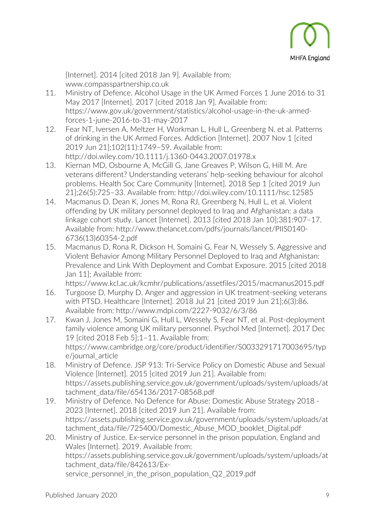

[Internet]. 2014 [cited 2018 Jan 9]. Available from: www.compasspartnership.co.uk

- 11. Ministry of Defence. Alcohol Usage in the UK Armed Forces 1 June 2016 to 31 May 2017 [Internet]. 2017 [cited 2018 Jan 9]. Available from: https://www.gov.uk/government/statistics/alcohol-usage-in-the-uk-armedforces-1-june-2016-to-31-may-2017
- 12. Fear NT, Iversen A, Meltzer H, Workman L, Hull L, Greenberg N, et al. Patterns of drinking in the UK Armed Forces. Addiction [Internet]. 2007 Nov 1 [cited 2019 Jun 21];102(11):1749–59. Available from: http://doi.wiley.com/10.1111/j.1360-0443.2007.01978.x
- 13. Kiernan MD, Osbourne A, McGill G, Jane Greaves P, Wilson G, Hill M. Are veterans different? Understanding veterans' help-seeking behaviour for alcohol problems. Health Soc Care Community [Internet]. 2018 Sep 1 [cited 2019 Jun 21];26(5):725–33. Available from: http://doi.wiley.com/10.1111/hsc.12585
- 14. Macmanus D, Dean K, Jones M, Rona RJ, Greenberg N, Hull L, et al. Violent offending by UK military personnel deployed to Iraq and Afghanistan: a data linkage cohort study. Lancet [Internet]. 2013 [cited 2018 Jan 10];381:907–17. Available from: http://www.thelancet.com/pdfs/journals/lancet/PIIS0140- 6736(13)60354-2.pdf
- 15. Macmanus D, Rona R, Dickson H, Somaini G, Fear N, Wessely S. Aggressive and Violent Behavior Among Military Personnel Deployed to Iraq and Afghanistan: Prevalence and Link With Deployment and Combat Exposure. 2015 [cited 2018 Jan 11]; Available from:

https://www.kcl.ac.uk/kcmhr/publications/assetfiles/2015/macmanus2015.pdf

- 16. Turgoose D, Murphy D. Anger and aggression in UK treatment-seeking veterans with PTSD. Healthcare [Internet]. 2018 Jul 21 [cited 2019 Jun 21];6(3):86. Available from: http://www.mdpi.com/2227-9032/6/3/86
- 17. Kwan J, Jones M, Somaini G, Hull L, Wessely S, Fear NT, et al. Post-deployment family violence among UK military personnel. Psychol Med [Internet]. 2017 Dec 19 [cited 2018 Feb 5];1–11. Available from: https://www.cambridge.org/core/product/identifier/S0033291717003695/typ e/journal\_article
- 18. Ministry of Defence. JSP 913: Tri-Service Policy on Domestic Abuse and Sexual Violence [Internet]. 2015 [cited 2019 Jun 21]. Available from: https://assets.publishing.service.gov.uk/government/uploads/system/uploads/at tachment\_data/file/654136/2017-08568.pdf
- 19. Ministry of Defence. No Defence for Abuse: Domestic Abuse Strategy 2018 2023 [Internet]. 2018 [cited 2019 Jun 21]. Available from: https://assets.publishing.service.gov.uk/government/uploads/system/uploads/at tachment\_data/file/725400/Domestic\_Abuse\_MOD\_booklet\_Digital.pdf
- 20. Ministry of Justice. Ex-service personnel in the prison population, England and Wales [Internet]. 2019. Available from: https://assets.publishing.service.gov.uk/government/uploads/system/uploads/at tachment\_data/file/842613/Exservice personnel in the prison population Q2 2019.pdf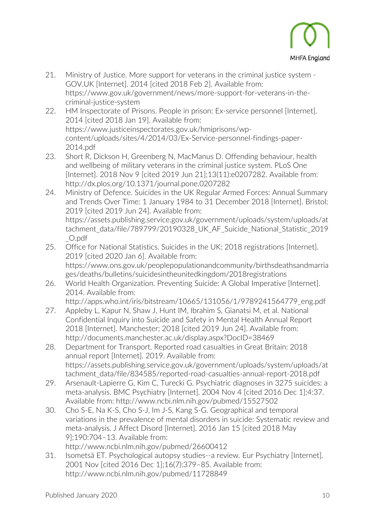

- 21. Ministry of Justice. More support for veterans in the criminal justice system GOV.UK [Internet]. 2014 [cited 2018 Feb 2]. Available from: https://www.gov.uk/government/news/more-support-for-veterans-in-thecriminal-justice-system
- 22. HM Inspectorate of Prisons. People in prison: Ex-service personnel [Internet]. 2014 [cited 2018 Jan 19]. Available from: https://www.justiceinspectorates.gov.uk/hmiprisons/wpcontent/uploads/sites/4/2014/03/Ex-Service-personnel-findings-paper-2014.pdf
- 23. Short R, Dickson H, Greenberg N, MacManus D. Offending behaviour, health and wellbeing of military veterans in the criminal justice system. PLoS One [Internet]. 2018 Nov 9 [cited 2019 Jun 21];13(11):e0207282. Available from: http://dx.plos.org/10.1371/journal.pone.0207282
- 24. Ministry of Defence. Suicides in the UK Regular Armed Forces: Annual Summary and Trends Over Time: 1 January 1984 to 31 December 2018 [Internet]. Bristol; 2019 [cited 2019 Jun 24]. Available from:

https://assets.publishing.service.gov.uk/government/uploads/system/uploads/at tachment\_data/file/789799/20190328\_UK\_AF\_Suicide\_National\_Statistic\_2019 \_O.pdf

- 25. Office for National Statistics. Suicides in the UK: 2018 registrations [Internet]. 2019 [cited 2020 Jan 6]. Available from: https://www.ons.gov.uk/peoplepopulationandcommunity/birthsdeathsandmarria ges/deaths/bulletins/suicidesintheunitedkingdom/2018registrations
- 26. World Health Organization. Preventing Suicide: A Global Imperative [Internet]. 2014. Available from:

http://apps.who.int/iris/bitstream/10665/131056/1/9789241564779\_eng.pdf

- 27. Appleby L, Kapur N, Shaw J, Hunt IM, Ibrahim S, Gianatsi M, et al. National Confidential Inquiry into Suicide and Safety in Mental Health Annual Report 2018 [Internet]. Manchester; 2018 [cited 2019 Jun 24]. Available from: http://documents.manchester.ac.uk/display.aspx?DocID=38469
- 28. Department for Transport. Reported road casualties in Great Britain: 2018 annual report [Internet]. 2019. Available from: https://assets.publishing.service.gov.uk/government/uploads/system/uploads/at tachment\_data/file/834585/reported-road-casualties-annual-report-2018.pdf
- 29. Arsenault-Lapierre G, Kim C, Turecki G. Psychiatric diagnoses in 3275 suicides: a meta-analysis. BMC Psychiatry [Internet]. 2004 Nov 4 [cited 2016 Dec 1];4:37. Available from: http://www.ncbi.nlm.nih.gov/pubmed/15527502
- 30. Cho S-E, Na K-S, Cho S-J, Im J-S, Kang S-G. Geographical and temporal variations in the prevalence of mental disorders in suicide: Systematic review and meta-analysis. J Affect Disord [Internet]. 2016 Jan 15 [cited 2018 May 9];190:704–13. Available from: http://www.ncbi.nlm.nih.gov/pubmed/26600412
- 31. Isometsä ET. Psychological autopsy studies--a review. Eur Psychiatry [Internet]. 2001 Nov [cited 2016 Dec 1];16(7):379–85. Available from: http://www.ncbi.nlm.nih.gov/pubmed/11728849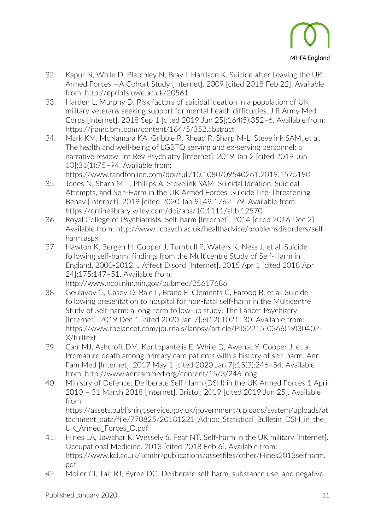

- 32. Kapur N, While D, Blatchley N, Bray I, Harrison K. Suicide after Leaving the UK Armed Forces —A Cohort Study [Internet]. 2009 [cited 2018 Feb 22]. Available from: http://eprints.uwe.ac.uk/20561
- 33. Harden L, Murphy D. Risk factors of suicidal ideation in a population of UK military veterans seeking support for mental health difficulties. J R Army Med Corps [Internet]. 2018 Sep 1 [cited 2019 Jun 25];164(5):352–6. Available from: https://jramc.bmj.com/content/164/5/352.abstract
- 34. Mark KM, McNamara KA, Gribble R, Rhead R, Sharp M-L, Stevelink SAM, et al. The health and well-being of LGBTQ serving and ex-serving personnel: a narrative review. Int Rev Psychiatry [Internet]. 2019 Jan 2 [cited 2019 Jun 13];31(1):75–94. Available from:

https://www.tandfonline.com/doi/full/10.1080/09540261.2019.1575190

- 35. Jones N, Sharp M-L, Phillips A, Stevelink SAM. Suicidal Ideation, Suicidal Attempts, and Self-Harm in the UK Armed Forces. Suicide Life-Threatening Behav [Internet]. 2019 [cited 2020 Jan 9];49:1762–79. Available from: https://onlinelibrary.wiley.com/doi/abs/10.1111/sltb.12570
- 36. Royal College of Psychiatrists. Self-harm [Internet]. 2014 [cited 2016 Dec 2]. Available from: http://www.rcpsych.ac.uk/healthadvice/problemsdisorders/selfharm.aspx
- 37. Hawton K, Bergen H, Cooper J, Turnbull P, Waters K, Ness J, et al. Suicide following self-harm: findings from the Multicentre Study of Self-Harm in England, 2000-2012. J Affect Disord [Internet]. 2015 Apr 1 [cited 2018 Apr 24];175:147–51. Available from:

http://www.ncbi.nlm.nih.gov/pubmed/25617686

- 38. Geulayov G, Casey D, Bale L, Brand F, Clements C, Farooq B, et al. Suicide following presentation to hospital for non-fatal self-harm in the Multicentre Study of Self-harm: a long-term follow-up study. The Lancet Psychiatry [Internet]. 2019 Dec 1 [cited 2020 Jan 7];6(12):1021–30. Available from: https://www.thelancet.com/journals/lanpsy/article/PIIS2215-0366(19)30402- X/fulltext
- 39. Carr MJ, Ashcroft DM, Kontopantelis E, While D, Awenat Y, Cooper J, et al. Premature death among primary care patients with a history of self-harm. Ann Fam Med [Internet]. 2017 May 1 [cited 2020 Jan 7];15(3):246–54. Available from: http://www.annfammed.org/content/15/3/246.long
- 40. Ministry of Defence. Deliberate Self Harm (DSH) in the UK Armed Forces 1 April 2010 – 31 March 2018 [Internet]. Bristol; 2019 [cited 2019 Jun 25]. Available from:

https://assets.publishing.service.gov.uk/government/uploads/system/uploads/at tachment data/file/770825/20181221 Adhoc Statistical Bulletin DSH in the UK\_Armed\_Forces\_O.pdf

- 41. Hines LA, Jawahar K, Wessely S, Fear NT. Self-harm in the UK military [Internet]. Occupational Medicine. 2013 [cited 2018 Feb 6]. Available from: https://www.kcl.ac.uk/kcmhr/publications/assetfiles/other/Hines2013selfharm. pdf
- 42. Moller CI, Tait RJ, Byrne DG. Deliberate self-harm, substance use, and negative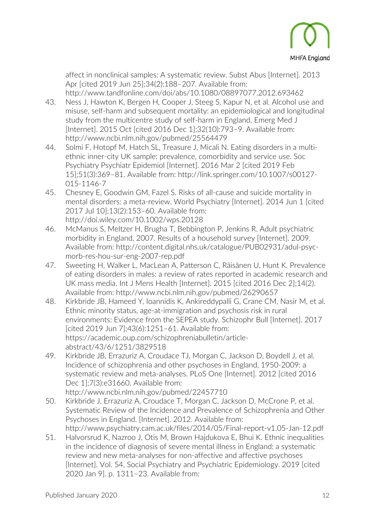

affect in nonclinical samples: A systematic review. Subst Abus [Internet]. 2013 Apr [cited 2019 Jun 25];34(2):188–207. Available from: http://www.tandfonline.com/doi/abs/10.1080/08897077.2012.693462

- 43. Ness J, Hawton K, Bergen H, Cooper J, Steeg S, Kapur N, et al. Alcohol use and misuse, self-harm and subsequent mortality: an epidemiological and longitudinal study from the multicentre study of self-harm in England. Emerg Med J [Internet]. 2015 Oct [cited 2016 Dec 1];32(10):793–9. Available from: http://www.ncbi.nlm.nih.gov/pubmed/25564479
- 44. Solmi F, Hotopf M, Hatch SL, Treasure J, Micali N. Eating disorders in a multiethnic inner-city UK sample: prevalence, comorbidity and service use. Soc Psychiatry Psychiatr Epidemiol [Internet]. 2016 Mar 2 [cited 2019 Feb 15];51(3):369–81. Available from: http://link.springer.com/10.1007/s00127- 015-1146-7
- 45. Chesney E, Goodwin GM, Fazel S. Risks of all-cause and suicide mortality in mental disorders: a meta-review. World Psychiatry [Internet]. 2014 Jun 1 [cited 2017 Jul 10];13(2):153–60. Available from: http://doi.wiley.com/10.1002/wps.20128
- 46. McManus S, Meltzer H, Brugha T, Bebbington P, Jenkins R. Adult psychiatric morbidity in England, 2007. Results of a household survey [Internet]. 2009. Available from: http://content.digital.nhs.uk/catalogue/PUB02931/adul-psycmorb-res-hou-sur-eng-2007-rep.pdf
- 47. Sweeting H, Walker L, MacLean A, Patterson C, Räisänen U, Hunt K. Prevalence of eating disorders in males: a review of rates reported in academic research and UK mass media. Int J Mens Health [Internet]. 2015 [cited 2016 Dec 2];14(2). Available from: http://www.ncbi.nlm.nih.gov/pubmed/26290657
- 48. Kirkbride JB, Hameed Y, Ioannidis K, Ankireddypalli G, Crane CM, Nasir M, et al. Ethnic minority status, age-at-immigration and psychosis risk in rural environments: Evidence from the SEPEA study. Schizophr Bull [Internet]. 2017 [cited 2019 Jun 7];43(6):1251–61. Available from: https://academic.oup.com/schizophreniabulletin/articleabstract/43/6/1251/3829518
- 49. Kirkbride JB, Errazuriz A, Croudace TJ, Morgan C, Jackson D, Boydell J, et al. Incidence of schizophrenia and other psychoses in England, 1950-2009: a systematic review and meta-analyses. PLoS One [Internet]. 2012 [cited 2016 Dec 1];7(3):e31660. Available from: http://www.ncbi.nlm.nih.gov/pubmed/22457710
- 50. Kirkbride J, Errazuriz A, Croudace T, Morgan C, Jackson D, McCrone P, et al. Systematic Review of the Incidence and Prevalence of Schizophrenia and Other Psychoses in England. [Internet]. 2012. Available from:
- http://www.psychiatry.cam.ac.uk/files/2014/05/Final-report-v1.05-Jan-12.pdf 51. Halvorsrud K, Nazroo J, Otis M, Brown Hajdukova E, Bhui K. Ethnic inequalities in the incidence of diagnosis of severe mental illness in England: a systematic review and new meta-analyses for non-affective and affective psychoses [Internet]. Vol. 54, Social Psychiatry and Psychiatric Epidemiology. 2019 [cited 2020 Jan 9]. p. 1311–23. Available from: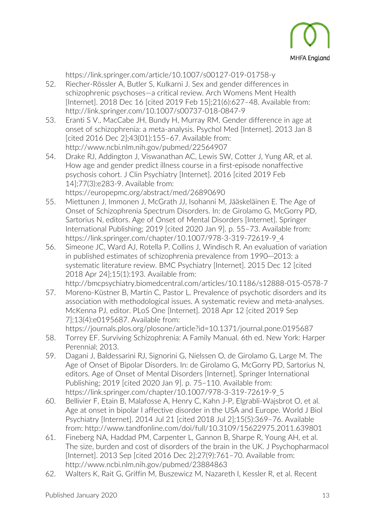

https://link.springer.com/article/10.1007/s00127-019-01758-y

- 52. Riecher-Rössler A, Butler S, Kulkarni J. Sex and gender differences in schizophrenic psychoses—a critical review. Arch Womens Ment Health [Internet]. 2018 Dec 16 [cited 2019 Feb 15];21(6):627–48. Available from: http://link.springer.com/10.1007/s00737-018-0847-9
- 53. Eranti S V., MacCabe JH, Bundy H, Murray RM. Gender difference in age at onset of schizophrenia: a meta-analysis. Psychol Med [Internet]. 2013 Jan 8 [cited 2016 Dec 2];43(01):155–67. Available from: http://www.ncbi.nlm.nih.gov/pubmed/22564907
- 54. Drake RJ, Addington J, Viswanathan AC, Lewis SW, Cotter J, Yung AR, et al. How age and gender predict illness course in a first-episode nonaffective psychosis cohort. J Clin Psychiatry [Internet]. 2016 [cited 2019 Feb 14];77(3):e283-9. Available from: https://europepmc.org/abstract/med/26890690
- 55. Miettunen J, Immonen J, McGrath JJ, Isohanni M, Jääskeläinen E. The Age of Onset of Schizophrenia Spectrum Disorders. In: de Girolamo G, McGorry PD, Sartorius N, editors. Age of Onset of Mental Disorders [Internet]. Springer International Publishing; 2019 [cited 2020 Jan 9]. p. 55–73. Available from: https://link.springer.com/chapter/10.1007/978-3-319-72619-9\_4
- 56. Simeone JC, Ward AJ, Rotella P, Collins J, Windisch R. An evaluation of variation in published estimates of schizophrenia prevalence from 1990─2013: a systematic literature review. BMC Psychiatry [Internet]. 2015 Dec 12 [cited 2018 Apr 24];15(1):193. Available from: http://bmcpsychiatry.biomedcentral.com/articles/10.1186/s12888-015-0578-7
- 57. Moreno-Küstner B, Martín C, Pastor L. Prevalence of psychotic disorders and its association with methodological issues. A systematic review and meta-analyses. McKenna PJ, editor. PLoS One [Internet]. 2018 Apr 12 [cited 2019 Sep 7];13(4):e0195687. Available from:

https://journals.plos.org/plosone/article?id=10.1371/journal.pone.0195687

- 58. Torrey EF. Surviving Schizophrenia: A Family Manual. 6th ed. New York: Harper Perennial; 2013.
- 59. Dagani J, Baldessarini RJ, Signorini G, Nielssen O, de Girolamo G, Large M. The Age of Onset of Bipolar Disorders. In: de Girolamo G, McGorry PD, Sartorius N, editors. Age of Onset of Mental Disorders [Internet]. Springer International Publishing; 2019 [cited 2020 Jan 9]. p. 75–110. Available from: https://link.springer.com/chapter/10.1007/978-3-319-72619-9\_5
- 60. Bellivier F, Etain B, Malafosse A, Henry C, Kahn J-P, Elgrabli-Wajsbrot O, et al. Age at onset in bipolar I affective disorder in the USA and Europe. World J Biol Psychiatry [Internet]. 2014 Jul 21 [cited 2018 Jul 2];15(5):369–76. Available from: http://www.tandfonline.com/doi/full/10.3109/15622975.2011.639801
- 61. Fineberg NA, Haddad PM, Carpenter L, Gannon B, Sharpe R, Young AH, et al. The size, burden and cost of disorders of the brain in the UK. J Psychopharmacol [Internet]. 2013 Sep [cited 2016 Dec 2];27(9):761–70. Available from: http://www.ncbi.nlm.nih.gov/pubmed/23884863
- 62. Walters K, Rait G, Griffin M, Buszewicz M, Nazareth I, Kessler R, et al. Recent